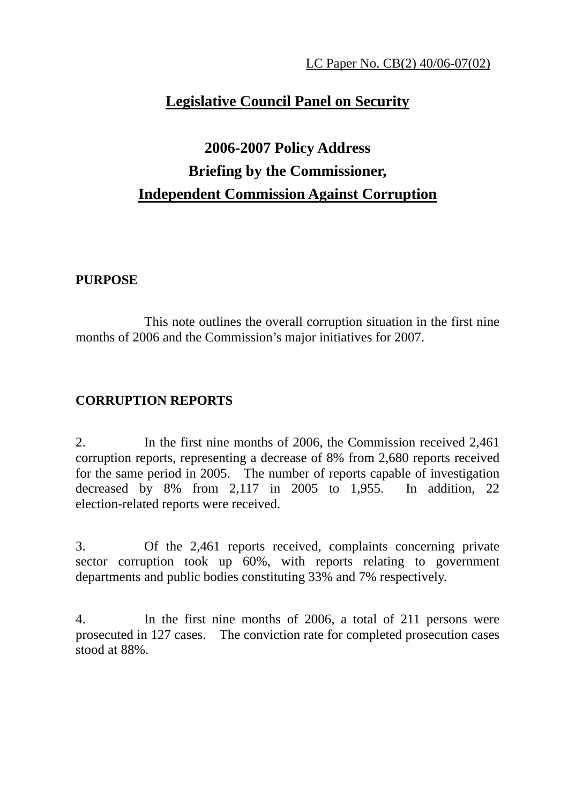## **Legislative Council Panel on Security**

# **2006-2007 Policy Address Briefing by the Commissioner, Independent Commission Against Corruption**

### **PURPOSE**

 This note outlines the overall corruption situation in the first nine months of 2006 and the Commission's major initiatives for 2007.

## **CORRUPTION REPORTS**

2. In the first nine months of 2006, the Commission received 2,461 corruption reports, representing a decrease of 8% from 2,680 reports received for the same period in 2005. The number of reports capable of investigation decreased by 8% from 2,117 in 2005 to 1,955. In addition, 22 election-related reports were received.

3. Of the 2,461 reports received, complaints concerning private sector corruption took up 60%, with reports relating to government departments and public bodies constituting 33% and 7% respectively.

4. In the first nine months of 2006, a total of 211 persons were prosecuted in 127 cases. The conviction rate for completed prosecution cases stood at 88%.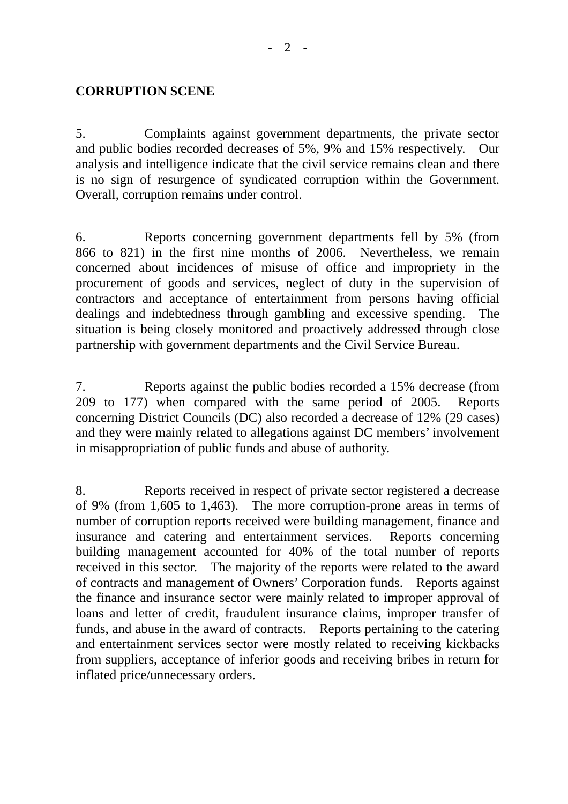#### **CORRUPTION SCENE**

5. Complaints against government departments, the private sector and public bodies recorded decreases of 5%, 9% and 15% respectively. Our analysis and intelligence indicate that the civil service remains clean and there is no sign of resurgence of syndicated corruption within the Government. Overall, corruption remains under control.

6. Reports concerning government departments fell by 5% (from 866 to 821) in the first nine months of 2006. Nevertheless, we remain concerned about incidences of misuse of office and impropriety in the procurement of goods and services, neglect of duty in the supervision of contractors and acceptance of entertainment from persons having official dealings and indebtedness through gambling and excessive spending. The situation is being closely monitored and proactively addressed through close partnership with government departments and the Civil Service Bureau.

7. Reports against the public bodies recorded a 15% decrease (from 209 to 177) when compared with the same period of 2005. Reports concerning District Councils (DC) also recorded a decrease of 12% (29 cases) and they were mainly related to allegations against DC members' involvement in misappropriation of public funds and abuse of authority.

8. Reports received in respect of private sector registered a decrease of 9% (from 1,605 to 1,463). The more corruption-prone areas in terms of number of corruption reports received were building management, finance and insurance and catering and entertainment services. Reports concerning building management accounted for 40% of the total number of reports received in this sector. The majority of the reports were related to the award of contracts and management of Owners' Corporation funds. Reports against the finance and insurance sector were mainly related to improper approval of loans and letter of credit, fraudulent insurance claims, improper transfer of funds, and abuse in the award of contracts. Reports pertaining to the catering and entertainment services sector were mostly related to receiving kickbacks from suppliers, acceptance of inferior goods and receiving bribes in return for inflated price/unnecessary orders.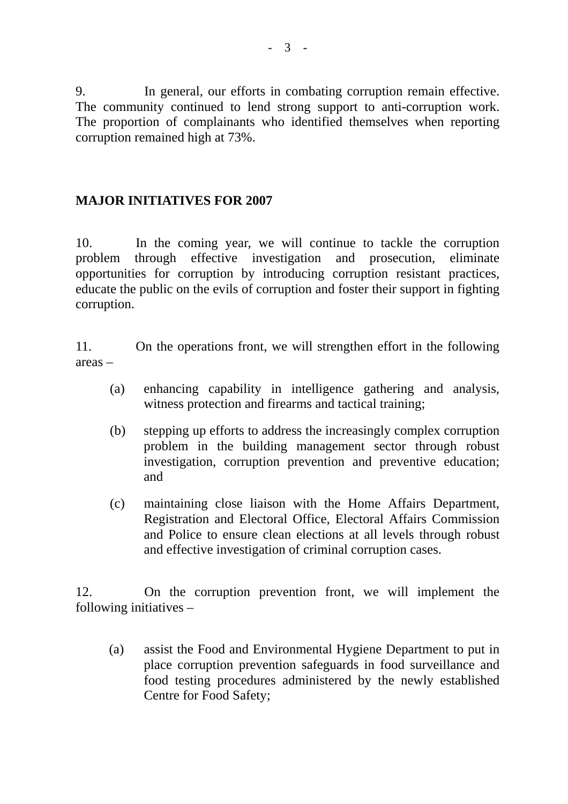9. In general, our efforts in combating corruption remain effective. The community continued to lend strong support to anti-corruption work. The proportion of complainants who identified themselves when reporting corruption remained high at 73%.

## **MAJOR INITIATIVES FOR 2007**

10. In the coming year, we will continue to tackle the corruption problem through effective investigation and prosecution, eliminate opportunities for corruption by introducing corruption resistant practices, educate the public on the evils of corruption and foster their support in fighting corruption.

11. On the operations front, we will strengthen effort in the following areas –

- (a) enhancing capability in intelligence gathering and analysis, witness protection and firearms and tactical training;
- (b) stepping up efforts to address the increasingly complex corruption problem in the building management sector through robust investigation, corruption prevention and preventive education; and
- (c) maintaining close liaison with the Home Affairs Department, Registration and Electoral Office, Electoral Affairs Commission and Police to ensure clean elections at all levels through robust and effective investigation of criminal corruption cases.

12. On the corruption prevention front, we will implement the following initiatives –

(a) assist the Food and Environmental Hygiene Department to put in place corruption prevention safeguards in food surveillance and food testing procedures administered by the newly established Centre for Food Safety;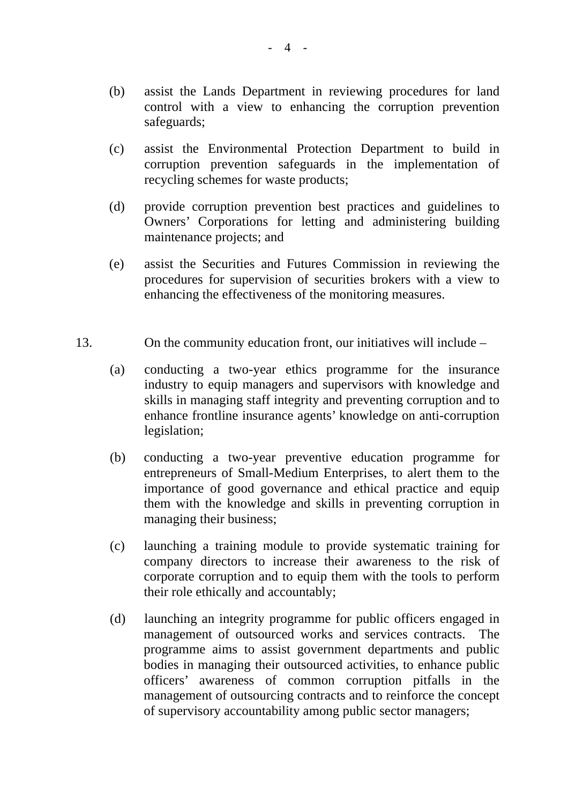- (b) assist the Lands Department in reviewing procedures for land control with a view to enhancing the corruption prevention safeguards;
- (c) assist the Environmental Protection Department to build in corruption prevention safeguards in the implementation of recycling schemes for waste products;
- (d) provide corruption prevention best practices and guidelines to Owners' Corporations for letting and administering building maintenance projects; and
- (e) assist the Securities and Futures Commission in reviewing the procedures for supervision of securities brokers with a view to enhancing the effectiveness of the monitoring measures.
- 13. On the community education front, our initiatives will include
	- (a) conducting a two-year ethics programme for the insurance industry to equip managers and supervisors with knowledge and skills in managing staff integrity and preventing corruption and to enhance frontline insurance agents' knowledge on anti-corruption legislation;
	- (b) conducting a two-year preventive education programme for entrepreneurs of Small-Medium Enterprises, to alert them to the importance of good governance and ethical practice and equip them with the knowledge and skills in preventing corruption in managing their business;
	- (c) launching a training module to provide systematic training for company directors to increase their awareness to the risk of corporate corruption and to equip them with the tools to perform their role ethically and accountably;
	- (d) launching an integrity programme for public officers engaged in management of outsourced works and services contracts. The programme aims to assist government departments and public bodies in managing their outsourced activities, to enhance public officers' awareness of common corruption pitfalls in the management of outsourcing contracts and to reinforce the concept of supervisory accountability among public sector managers;